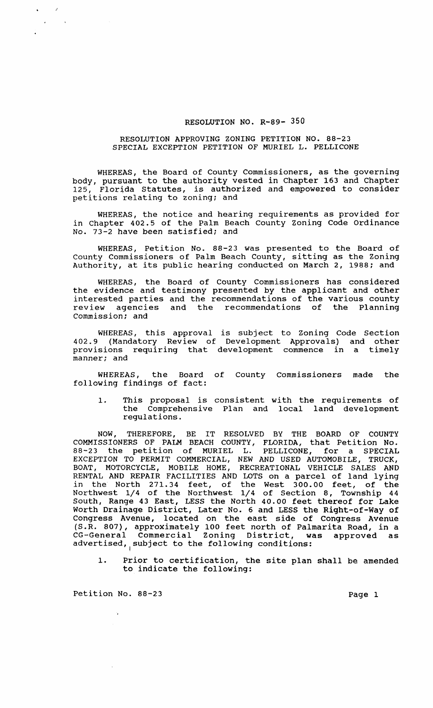## RESOLUTION NO. R-89- 350

## RESOLUTION APPROVING ZONING PETITION NO. 88-23 SPECIAL EXCEPTION PETITION OF MURIEL L. PELLICONE

WHEREAS, the Board of County Commissioners, as the governing body, pursuant to the authority vested in Chapter 163 and Chapter<br>125. Florida Statutes, is authorized and empowered to consider Florida Statutes, is authorized and empowered to consider petitions relating to zoning; and

WHEREAS, the notice and hearing requirements as provided for in Chapter 402.5 of the Palm Beach county Zoning Code Ordinance No. 73-2 have been satisfied; and

WHEREAS, Petition No. 88-23 was presented to the Board of County Commissioners of Palm Beach County, sitting as the Zoning Authority, at its public hearing conducted on March 2, 1988; and

WHEREAS, the Board of County Commissioners has considered the evidence and testimony presented by the applicant and other interested parties and the recommendations of the various county review agencies and the recommendations of the Planning commission: and

WHEREAS, this approval is subject to Zoning Code Section 402.9 (Mandatory Review of Development Approvals) and other provisions requiring that development commence in a timely manner; and

WHEREAS, the Board of County Commissioners made the following findings of fact:

1. This proposal is consistent with the requirements of the Comprehensive Plan and local land development regulations.

NOW, THEREFORE, BE IT RESOLVED BY THE BOARD OF COUNTY COMMISSIONERS OF PALM BEACH COUNTY, FLORIDA, that Petition No. 88-23 the petition of MURIEL L. PELLICONE, for a SPECIAL EXCEPTION TO PERMIT COMMERCIAL, NEW AND USED AUTOMOBILE, TRUCK, BOAT, MOTORCYCLE, MOBILE HOME, RECREATIONAL VEHICLE SALES AND RENTAL AND REPAIR FACILITIES AND LOTS on a parcel of land lying in the North 271.34 feet, of the West 300.00 feet, of the Northwest 1/4 of the Northwest 1/4 of section 8, Township 44 South, Range 43 East, LESS the North 40.00 feet thereof for Lake Worth Drainage District, Later No. 6 and LESS the Right-of-Way of Congress Avenue, located on the east side of Congress Avenue (S.R. 807), approximately 100 feet north of Palmarita Road, in a CG-General Commercial Zoning District, was approved as advertised, subject to the following conditions:

1. Prior to certification, the site plan shall be amended to indicate the following:

Petition No. 88-23 Page 1

 $\sim$ 

 $\sim$   $\sim$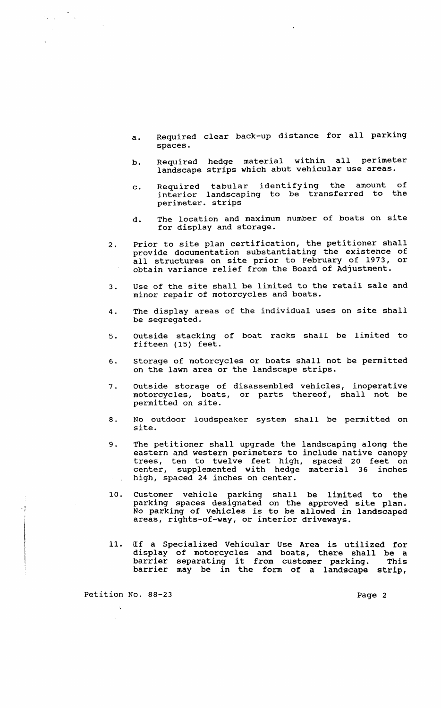- a. Required clear back-up distance for all parking spaces.
- b. Required hedge material within all perimeter landscape strips which abut vehicular use areas.
- c. Required tabular identifying the amount of interior landscaping to be transferred to the perimeter. strips
- d. The location and maximum number of boats on site for display and storage.
- 2. Prior to site plan certification, the petitioner shall provide documentation substantiating the existence of all structures on site prior to February of 1973, or obtain variance relief from the Board of Adjustment.
- 3. Use of the site shall be limited to the retail sale and minor repair of motorcycles and boats.
- 4. The display areas of the individual uses on site shall be segregated.
- 5. outside stacking of boat racks shall be limited to fifteen (15) feet.
- 6. storage of motorcycles or boats shall not be permitted on the lawn area or the landscape strips.
- 7. outside storage of disassembled vehicles, inoperative motorcycles, boats, or parts thereof, shall not be permitted on site.
- 8. No outdoor loudspeaker system shall be permitted on site.
- 9. The petitioner shall upgrade the landscaping along the eastern and western perimeters to include native canopy trees, ten to twelve feet high, spaced 20 feet on center, supplemented with hedge material 36 inches high, spaced 24 inches on center.
- 10. Customer vehicle parking shall be limited to the parking spaces designated on the approved site plan.<br>No parking of vehicles is to be allowed in landscaped areas, rights-of-way, or interior driveways.
- 11. IIf a Specialized Vehicular Use Area is utilized for display of motorcycles and boats, there shall be a dispiay of motorcycles and boats, there shall be a<br>barrier separating it from customer parking. This parrier beparacing it from cabtomer parking. This

Petition No. 88-23 Page 2

• j I

 $\label{eq:2} \frac{1}{\sqrt{2}}\sum_{i=1}^n\frac{1}{\sqrt{2}}\sum_{i=1}^n\frac{1}{\sqrt{2}}\sum_{i=1}^n\frac{1}{\sqrt{2}}\sum_{i=1}^n\frac{1}{\sqrt{2}}\sum_{i=1}^n\frac{1}{\sqrt{2}}\sum_{i=1}^n\frac{1}{\sqrt{2}}\sum_{i=1}^n\frac{1}{\sqrt{2}}\sum_{i=1}^n\frac{1}{\sqrt{2}}\sum_{i=1}^n\frac{1}{\sqrt{2}}\sum_{i=1}^n\frac{1}{\sqrt{2}}\sum_{i=1}^n\frac{1$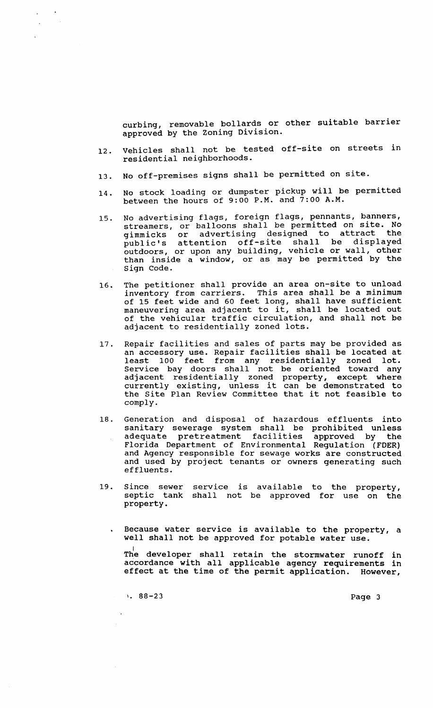curbing, removable bollards or other suitable barrier approved by the Zoning Division.

- 12. Vehicles shall not be tested off-site on streets in residential neighborhoods.
- 13. No off-premises signs shall be permitted on site.
- 14. No stock loading or dumpster pickup will be permitted between the hours of 9:00 P.M. and 7:00 A.M.
- 15. No advertising flags, foreign flags, pennants, banners, streamers, or balloons shall be permitted on site. No gimmicks or advertising designed to attract the public's attention off-site shall be displayed outdoors, or upon any building, vehicle or wall, other than inside a window, or as may be permitted by the sign Code.
- 16. The petitioner shall provide an area on-site to unload inventory from carriers. This area shall be a minimum of 15 feet wide and 60 feet long, shall have sufficient maneuvering area adjacent to it, shall be located out of the vehicular traffic circulation, and shall not be adjacent to residentially zoned lots.
- 17. Repair facilities and sales of parts may be provided as an accessory use. Repair facilities shall be located at least 100 feet from any residentially zoned lot. Service bay doors shall not be oriented toward any adjacent residentially zoned property, except where adjacent residentially zoned property, except where<br>currently existing, unless it can be demonstrated to the site Plan Review Committee that it not feasible to comply.
- 18. Generation and disposal of hazardous effluents into sanitary sewerage system shall be prohibited unless adequate pretreatment facilities approved by the Florida Department of Environmental Regulation (FDER) and Agency responsible for sewage works are constructed and used by project tenants or owners generating such effluents.
- 19. since sewer septic tank property. service is shall not available to the property, be approved for use on the
	- Because water service is available to the property, a well shall not be approved for potable water use.

The developer shall retain the stormwater runoff in accordance with all applicable agency requirements in effect at the time of the permit application. However,

1. 88-23 Page 3

 $\mathcal{A}_\bullet$ 

 $\sim$   $\sim$ 

 $\chi$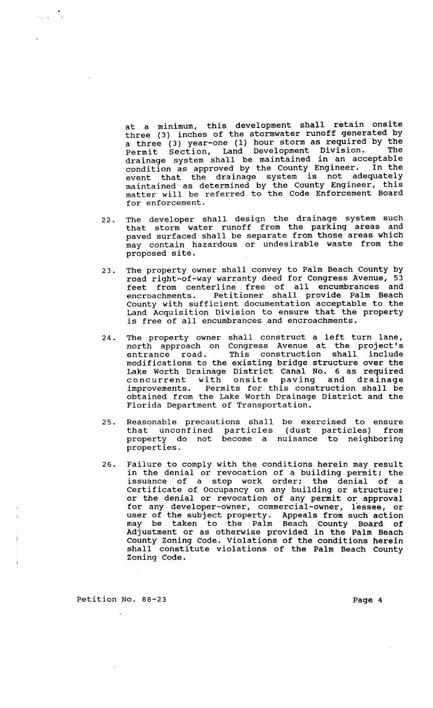at a minimum, this development shall retain onsite three (3) inches of the stormwater runoff generated by a three (3) year-one (1) hour storm as required by the Permit section, Land Development Division. The drainage system shall be maintained in an acceptable condition as approved by the County Engineer. In the event that the drainage system is not adequatelY maintained as determined by the County Engineer, this matter will be referred to the Code Enforcement Board for enforcement.

- 22. The developer shall design the drainage system such that storm water runoff from the parking areas and paved surfaced shall be separate from those areas which may contain hazardous or undesirable waste from the proposed site.
- 23. The property owner shall convey to Palm Beach county by road right-ot-way warranty deed *tor* Congress Avenue, 53 feet from centerline free of all encumbrances and encroachments. Petitioner shall provide Palm Beach County with sufficient documentation acceptable to the Land Acquisition Division to ensure that the property is free of all encumbrances and encroachments.
- 24. The property owner shall construct a left turn lane, north approach on Congress Avenue at the project's<br>entrance road. This construction shall include This construction shall modifications to the existing bridge structure over the Lake Worth Drainage District Canal No. 6 as required concurrent with onsite paving and drainage improvements. Permits for this construction shall be obtained from the Lake Worth Drainage District and the Florida Department of Transportation.
- 25. Reasonable precautions shall be exercised to ensure that unconfined particles property do not become a properties. (dust particles) from nuisance to neighboring
- 26. Failure to comply with the conditions herein may result in the denial or revocation of a building permit; the issuance of a stop work order; the denial of a Certificate of Occupancy on any building or structure; or the denial or revocation of any permit or approval for any developer-owner, commercial-owner, lessee, or user of the subject property. Appeals from such action may be taken to the Palm Beach County Board of Adjustment or as otherwise provided in the Palm Beach County Zoning Code. Violations of the conditions herein shall constitute violations of the Palm Beach County Zoning Code.

Petition No. 88-23 Page 4

 $\mathcal{L}_{\text{max}}$  .